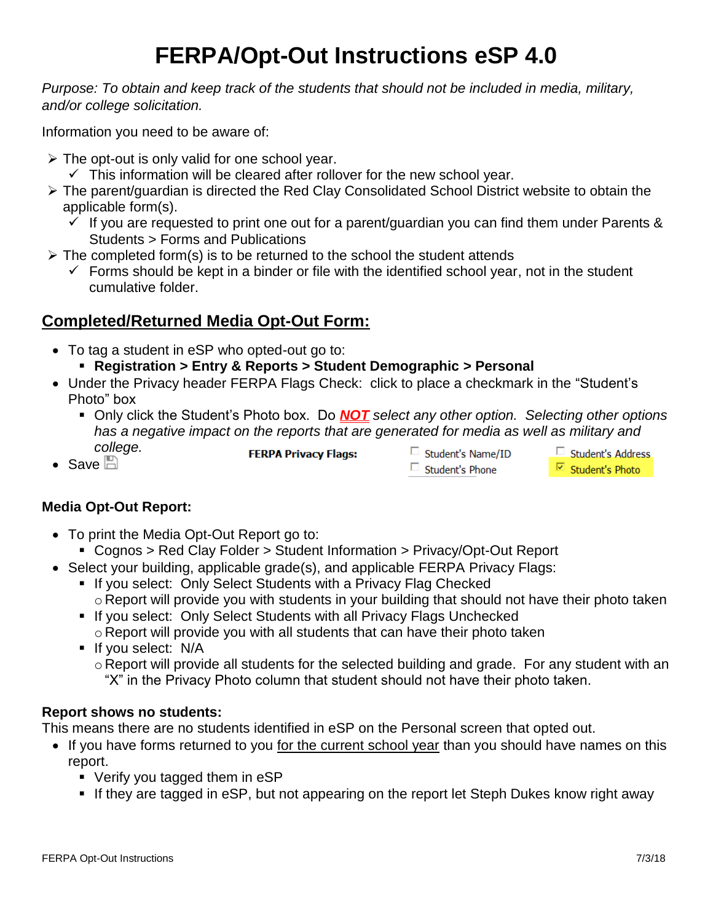# **FERPA/Opt-Out Instructions eSP 4.0**

*Purpose: To obtain and keep track of the students that should not be included in media, military, and/or college solicitation.*

Information you need to be aware of:

- $\triangleright$  The opt-out is only valid for one school year.
	- $\checkmark$  This information will be cleared after rollover for the new school year.
- The parent/guardian is directed the Red Clay Consolidated School District website to obtain the applicable form(s).
	- $\checkmark$  If you are requested to print one out for a parent/guardian you can find them under Parents & Students > Forms and Publications
- $\triangleright$  The completed form(s) is to be returned to the school the student attends
	- $\checkmark$  Forms should be kept in a binder or file with the identified school year, not in the student cumulative folder.

## **Completed/Returned Media Opt-Out Form:**

- To tag a student in eSP who opted-out go to:
	- **Registration > Entry & Reports > Student Demographic > Personal**
- Under the Privacy header FERPA Flags Check: click to place a checkmark in the "Student's Photo" box
	- Only click the Student's Photo box. Do **NOT** select any other option. Selecting other options *has a negative impact on the reports that are generated for media as well as military and college.*
- Save

**FERPA Privacy Flags:** 

 $\Box$  Student's Name/ID  $\Box$  Student's Phone

□ Student's Address  $\overline{\boxtimes}$  Student's Photo

### **Media Opt-Out Report:**

- To print the Media Opt-Out Report go to:
	- Cognos > Red Clay Folder > Student Information > Privacy/Opt-Out Report
- Select your building, applicable grade(s), and applicable FERPA Privacy Flags:
	- **If you select: Only Select Students with a Privacy Flag Checked**  $\circ$  Report will provide you with students in your building that should not have their photo taken
	- **If you select: Only Select Students with all Privacy Flags Unchecked**  $\circ$  Report will provide you with all students that can have their photo taken
	- If you select: N/A
		- o Report will provide all students for the selected building and grade. For any student with an "X" in the Privacy Photo column that student should not have their photo taken.

#### **Report shows no students:**

This means there are no students identified in eSP on the Personal screen that opted out.

- If you have forms returned to you for the current school year than you should have names on this report.
	- Verify you tagged them in eSP
	- If they are tagged in eSP, but not appearing on the report let Steph Dukes know right away